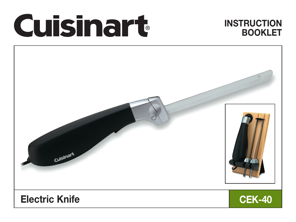# Cuisinart

# **INSTRUCTION** BOOKLET

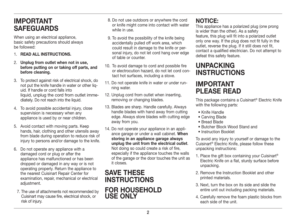# IMPORTANT SAFEGUARDS

When using an electrical appliance, basic safety precautions should always be followed:

- 1. READ ALL INSTRUCTIONS.
- 2. Unplug from outlet when not in use, before putting on or taking off parts, and before cleaning.
- 3. To protect against risk of electrical shock, do not put the knife handle in water or other liquid. If handle or cord falls into liquid, unplug the cord from outlet immediately. Do not reach into the liquid.
- 4. To avoid possible accidental injury, close supervision is necessary when any appliance is used by or near children.
- 5. Avoid contact with moving parts. Keep hands, hair, clothing and other utensils away from blade during operation to reduce risk of injury to persons and/or damage to the knife.
- 6. Do not operate any appliance with a damaged cord or plug or after the appliance has malfunctioned or has been dropped or damaged in any way or is not operating properly. Return the appliance to the nearest Cuisinart Repair Center for examination, repair, mechanical or electrical adjustment.
- 7. The use of attachments not recommended by Cuisinart may cause fire, electrical shock, or risk of injury.
- 8. Do not use outdoors or anywhere the cord or knife might come into contact with water while in use.
- 9. To avoid the possibility of the knife being accidentally pulled off work area, which could result in damage to the knife or personal injury, do not let cord hang over edge of table or counter.
- 10. To avoid damage to cord and possible fire or electrocution hazard, do not let cord contact hot surfaces, including a stove.
- 11. Do not operate knife in water or under running water.
- 12. Unplug cord from outlet when inserting, removing or changing blades.
- 13. Blades are sharp. Handle carefully. Always handle blades with hand away from cutting edge. Always store blades with cutting edge away from you.
- 14. Do not operate your appliance in an appliance garage or under a wall cabinet. When storing in an appliance garage always unplug the unit from the electrical outlet. Not doing so could create a risk of fire, especially if the appliance touches the walls of the garage or the door touches the unit as it closes.

# SAVE THESE INSTRUCTIONS For household use only

## NOTICE:

This appliance has a polarized plug (one prong is wider than the other). As a safety feature, this plug will fit into a polarized outlet only one way. If the plug does not fit fully in the outlet, reverse the plug. If it still does not fit, contact a qualified electrician. Do not attempt to defeat this safety feature.

# UNPACKING INSTRUCTIONS

## IMPORTANT PLEASE READ

This package contains a Cuisinart® Electric Knife with the following parts:

- Knife Handle
- Carving Blade
- Bread Blade
- Butcher Block Wood Stand and
- Instruction Booklet

To avoid any injury to yourself or damage to the Cuisinart® Electric Knife, please follow these unpacking instructions:

- 1. Place the gift box containing your Cuisinart<sup>®</sup> Electric Knife on a flat, sturdy surface before unpacking.
- 2. Remove the Instruction Booklet and other printed materials.
- 3. Next, turn the box on its side and slide the entire unit out including packing materials.
- 4. Carefully remove the foam plastic blocks from each side of the unit.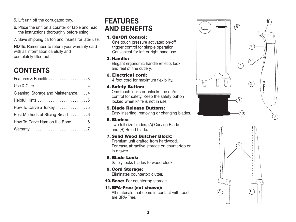5. Lift unit off the corrugated tray.

- 6. Place the unit on a counter or table and read the instructions thoroughly before using.
- 7. Save shipping carton and inserts for later use.

NOTE: Remember to return your warranty card with all information carefully and completely filled out.

# **CONTENTS**

| Features & Benefits3               |
|------------------------------------|
|                                    |
| Cleaning, Storage and Maintenance4 |
|                                    |
| How To Carve a Turkey5             |
| Best Methods of Slicing Bread6     |
| How To Carve Ham on the Bone 6     |
|                                    |

# FEATURES AND BENEFITS

#### 1. On/Off Control:

One touch pressure activated on/off trigger control for simple operation. Convenient for left or right hand use.

#### 2. Handle:

Elegant ergonomic handle reflects look and feel of fine cutlery.

#### 3. Electrical cord:

4 foot cord for maximum flexibility.

#### 4. Safety Button:

One touch locks or unlocks the on/off control for safety. Keep the safety button locked when knife is not in use.

#### 5. Blade Release Buttons:

Easy inserting, removing or changing blades.

#### 6. Blades:

Two full size blades. (A) Carving Blade and (B) Bread blade.

#### 7. Solid Wood Butcher Block:

Premium unit crafted from hardwood. For easy, attractive storage on countertop or in drawer.

8. Blade Lock:

Safely locks blades to wood block.

- 9. Cord Storage: Eliminates countertop clutter.
- 10. Base: For countertop storage.

#### 11. BPA-Free (not shown): All materials that come in contact with food are BPA-Free.



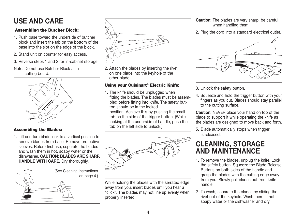# USE AND CARE

#### Assembling the Butcher Block:

- 1. Push base toward the underside of butcher block and insert the tab on the bottom of the base into the slot on the edge of the block.
- 2. Stand unit on counter for easy access.
- 3. Reverse steps 1 and 2 for in-cabinet storage.
- Note: Do not use Butcher Block as a cutting board.



#### Assembling the Blades:

1. Lift and turn blade lock to a vertical position to remove blades from base. Remove protective sleeves. Before first use, separate the blades and wash them in hot, soapy water or the dishwasher. CAUTION: BLADES ARE SHARP. HANDLE WITH CARE. Dry thoroughly.





2. Attach the blades by inserting the rivet on one blade into the keyhole of the other blade.

#### Using your Cuisinart® Electric Knife:

1. The knife should be unplugged when fitting the blades. The blades must be assembled before fitting into knife. The safety button should be in the locked position. Achieve this by pushing the small tab on the side of the trigger button. (While looking at the underside of handle, push the

tab on the left side to unlock.)



While holding the blades with the serrated edge away from you, insert blades until you hear a "click". The blades may not line up evenly when properly inserted.

Caution: The blades are very sharp; be careful when handling them.

2. Plug the cord into a standard electrical outlet.



- 3. Unlock the safety button.
- 4. Squeeze and hold the trigger button with your fingers as you cut. Blades should stay parallel to the cutting surface.

Caution: NEVER place your hand on top of the blade to support it while operating the knife as the blades are designed to move back and forth.

5. Blade automatically stops when trigger is released.

# CLEANING, STORAGE AND MAINTENANCE

- 1. To remove the blades, unplug the knife. Lock the safety button. Squeeze the Blade Release Buttons on both sides of the handle and grasp the blades with the cutting edge away from you. Slowly pull blades out from knife handle.
- 2. To wash, separate the blades by sliding the rivet out of the keyhole. Wash them in hot, soapy water or the dishwasher and dry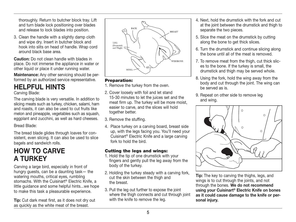thoroughly. Return to butcher block tray. Lift and turn blade lock positioning over blades and release to lock blades into position.

3. Clean the handle with a slightly damp cloth and wipe dry. Insert in butcher block and hook into slits on head of handle. Wrap cord around black base area.

Caution: Do not clean handle with blades in place. Do not immerse the appliance in water or other liquid or place it under running water.

Maintenance: Any other servicing should be performed by an authorized service representative.

# HELPFUL HINTS

Carving Blade:

The carving blade is very versatile. In addition to slicing meats such as turkey, chicken, salami, ham and roasts, it can also be used to cut fruits like melon and pineapple, vegetables such as squash, eggplant and zucchini, as well as hard cheeses.

Bread Blade:

The bread blade glides through loaves for consistent, even slicing. It can also be used to slice bagels and sandwich rolls.

# HOW TO CARVE A TURKEY

Carving a large bird, especially in front of hungry guests, can be a daunting task— the watering mouths, critical eyes, rumbling stomachs. With the Cuisinart® Electric Knife, a little guidance and some helpful hints...we hope to make this task a pleasurable experience.

Tip: Cut dark meat first, as it does not dry out as quickly as the white meat of the breast.



#### Preparation:

- 1. Remove the turkey from the oven.
- 2. Cover loosely with foil and let stand 15-30 minutes to let the juices set and the meat firm up. The turkey will be more moist, easier to carve, and the slices will hold together better.
- 3. Remove the stuffing.
- 4. Place turkey on a carving board, breast side up, with the legs facing you. You'll need your Cuisinart® Electric Knife and a large carving fork to hold the bird.

#### Cutting the legs and wings:

- 1. Hold the tip of one drumstick with your fingers and gently pull the leg away from the body of the turkey.
- 2. Holding the turkey steady with a carving fork, cut the skin between the thigh and the breast.
- 3. Pull the leg out further to expose the joint where the thigh connects and cut through joint with the knife to remove the leg.
- 4. Next, hold the drumstick with the fork and cut at the joint between the drumstick and thigh to separate the two pieces.
- 5. Slice the meat on the drumstick by cutting along the bone to get thick slices.
- 6. Turn the drumstick and continue slicing along the bone until all of the meat is removed.
- 7. To remove meat from the thigh, cut thick slices to the bone. If the turkey is small, the drumstick and thigh may be served whole.
- 8. Using the fork, hold the wing away from the body and cut through the joint. The wing can be served as is.
- 9. Repeat on other side to remove leg and wing.



Tip: The key to carving the thighs, legs, and wings is to cut through the joints, and not through the bones. We do not recommend using your Cuisinart® Electric Knife on bones as it could cause damage to the knife or personal injury.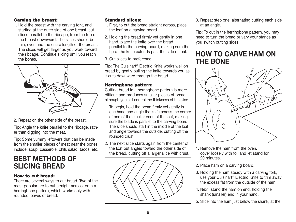#### Carving the breast:

1. Hold the breast with the carving fork, and starting at the outer side of one breast, cut slices parallel to the ribcage, from the top of the breast downward. The slices should be thin, even and the entire length of the breast. The slices will get larger as you work toward the ribcage. Continue slicing until you reach the bones.



2. Repeat on the other side of the breast.

Tip: Angle the knife parallel to the ribcage, rather than digging into the meat.

Tip: Some yummy leftovers that can be made from the smaller pieces of meat near the bones include: soup, casserole, chili, salad, tacos, etc.

# BEST METHODS OF SLICING BREAD

#### How to cut bread:

There are several ways to cut bread. Two of the most popular are to cut straight across, or in a herringbone pattern, which works only with rounded loaves of bread.

#### Standard slices:

- 1. First, to cut the bread straight across, place the loaf on a carving board.
- 2. Holding the bread firmly yet gently in one hand, place the knife over the bread, parallel to the carving board, making sure the tip of the knife extends past the side of loaf.

3. Cut slices to preference.

Tip: The Cuisinart® Electric Knife works well on bread by gently pulling the knife towards you as it cuts downward through the bread.

#### Herringbone pattern:

Cutting bread in a herringbone pattern is more difficult and produces smaller pieces of bread, although you still control the thickness of the slice.

- 1. To begin, hold the bread firmly yet gently in one hand and angle the knife across the corner of one of the smaller ends of the loaf, making sure the blade is parallel to the carving board. The slice should start in the middle of the loaf and angle towards the outside, cutting off the rounded crust.
- 2. The next slice starts again from the center of the loaf but angles toward the other side of the bread, cutting off a larger slice with crust.



3. Repeat step one, alternating cutting each side at an angle.

**Tip:** To cut in the herringbone pattern, you may need to turn the bread or vary your stance as you switch cutting sides.

## HOW TO CARVE HAM ON THE BONE



- 1. Remove the ham from the oven, cover loosely with foil and let stand for 20 minutes.
- 2. Place ham on a carving board.
- 3. Holding the ham steady with a carving fork, use your Cuisinart® Electric Knife to trim away the excess fat from the outside of the ham.
- 4. Next, stand the ham on end, holding the shank (smaller) end in your hand.
- 5. Slice into the ham just below the shank, at the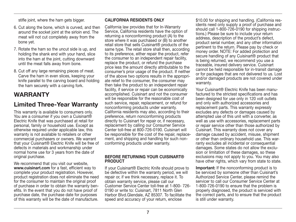stifle joint, where the ham gets bigger.

- 6. Cut along the bone, which is curved, and then around the socket joint at the sirloin end. The meat will not cut completely away from the bone yet.
- 7. Rotate the ham so the uncut side is up, and holding the shank end with your hand, slice into the ham at the joint, cutting downward until the meat falls away from bone.
- 8. Cut off any large remaining pieces of meat. Carve the ham in even slices, keeping your knife parallel to the carving board and holding the ham securely with a carving fork.

## **WARRANTY**

### Limited Three-Year Warranty

This warranty is available to consumers only. You are a consumer if you own a Cuisinart® Electric Knife that was purchased at retail for personal, family or household use. Except as otherwise required under applicable law, this warranty is not available to retailers or other commercial purchasers or owners. We warrant that your Cuisinart® Electric Knife will be free of defects in materials and workmanship under normal home use for 3 years from the date of original purchase.

We recommend that you visit our website, www.cuisinart.com for a fast, efficient way to complete your product registration. However, product registration does not eliminate the need for the consumer to maintain the original proof of purchase in order to obtain the warranty benefits. In the event that you do not have proof of purchase date, the purchase date for purposes of this warranty will be the date of manufacture.

#### CALIFORNIA RESIDENTS ONLY

California law provides that for In-Warranty Service, California residents have the option of returning a nonconforming product (A) to the store where it was purchased or (B) to another retail store that sells Cuisinart® products of the same type. The retail store shall then, according to its preference, either repair the product, refer the consumer to an independent repair facility, replace the product, or refund the purchase price less the amount directly attributable to the consumer's prior usage of the product. If neither of the above two options results in the appropriate relief to the consumer, the consumer may then take the product to an independent repair facility, if service or repair can be economically accomplished. Cuisinart and not the consumer will be responsible for the reasonable cost of such service, repair, replacement, or refund for nonconforming products under warranty. California residents may also, according to their preference, return nonconforming products directly to Cuisinart for repair or, if necessary, replacement by calling our Consumer Service Center toll-free at 800-726-0190. Cuisinart will be responsible for the cost of the repair, replacement, and shipping and handling for such nonconforming products under warranty.

#### BEFORE RETURNING YOUR CUISINART® **PRODUCT**

If your Cuisinart® Electric Knife should prove to be defective within the warranty period, we will repair or, if we think necessary, replace it. To obtain warranty service, please call our Customer Service Center toll-free at 1-800- 726- 0190 or write to: Cuisinart, 7811 North Glen Harbor Blvd.Glendale, AZ 85307. To facilitate the speed and accuracy of your return, enclose

\$10.00 for shipping and handling. (California residents need only supply a proof of purchase and should call 1-800-726-0190 for shipping instructions.) Please be sure to include your return address, description of the product's defect, product serial number, and any other information pertinent to the return. Please pay by check or money order. NOTE: For added protection and secure handling of any Cuisinart<sup>®</sup> product that is being returned, we recommend you use a traceable, insured delivery service. Cuisinart cannot be held responsible for in-transit damage or for packages that are not delivered to us. Lost and/or damaged products are not covered under warranty.

Your Cuisinart® Electric Knife has been manufactured to the strictest specifications and has been designed for use only in 120 volt outlets and only with authorized accessories and replacement parts. This warranty expressly excludes any defects or damages caused by attempted use of this unit with a converter, as well as use with accessories, replacement parts or repair service other than those authorized by Cuisinart. This warranty does not cover any damage caused by accident, misuse, shipment or other than ordinary household use. This warranty excludes all incidental or consequential damages. Some states do not allow the exclusion or limitation of these damages, so these exclusions may not apply to you. You may also have other rights, which vary from state to state.

Important: If the nonconforming product is to be serviced by someone other than Cuisinart's Authorized Service Center, please remind the servicer to call our Consumer Service Center at 1-800-726-0190 to ensure that the problem is properly diagnosed, the product is serviced with the correct parts, and to ensure that the product is still under warranty.